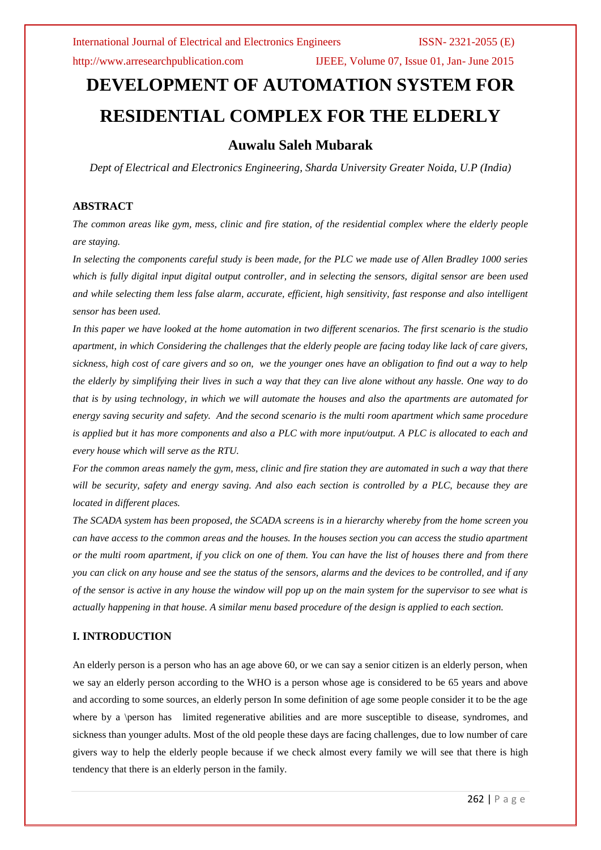http://www.arresearchpublication.com IJEEE, Volume 07, Issue 01, Jan- June 2015

# **DEVELOPMENT OF AUTOMATION SYSTEM FOR RESIDENTIAL COMPLEX FOR THE ELDERLY**

# **Auwalu Saleh Mubarak**

*Dept of Electrical and Electronics Engineering, Sharda University Greater Noida, U.P (India)*

# **ABSTRACT**

*The common areas like gym, mess, clinic and fire station, of the residential complex where the elderly people are staying.*

*In selecting the components careful study is been made, for the PLC we made use of Allen Bradley 1000 series which is fully digital input digital output controller, and in selecting the sensors, digital sensor are been used and while selecting them less false alarm, accurate, efficient, high sensitivity, fast response and also intelligent sensor has been used.*

*In this paper we have looked at the home automation in two different scenarios. The first scenario is the studio apartment, in which Considering the challenges that the elderly people are facing today like lack of care givers, sickness, high cost of care givers and so on, we the younger ones have an obligation to find out a way to help the elderly by simplifying their lives in such a way that they can live alone without any hassle. One way to do that is by using technology, in which we will automate the houses and also the apartments are automated for energy saving security and safety. And the second scenario is the multi room apartment which same procedure is applied but it has more components and also a PLC with more input/output. A PLC is allocated to each and every house which will serve as the RTU.*

*For the common areas namely the gym, mess, clinic and fire station they are automated in such a way that there will be security, safety and energy saving. And also each section is controlled by a PLC, because they are located in different places.*

*The SCADA system has been proposed, the SCADA screens is in a hierarchy whereby from the home screen you can have access to the common areas and the houses. In the houses section you can access the studio apartment or the multi room apartment, if you click on one of them. You can have the list of houses there and from there you can click on any house and see the status of the sensors, alarms and the devices to be controlled, and if any of the sensor is active in any house the window will pop up on the main system for the supervisor to see what is actually happening in that house. A similar menu based procedure of the design is applied to each section.*

### **I. INTRODUCTION**

An elderly person is a person who has an age above 60, or we can say a senior citizen is an elderly person, when we say an elderly person according to the WHO is a person whose age is considered to be 65 years and above and according to some sources, an elderly person In some definition of age some people consider it to be the age where by a \person has limited regenerative abilities and are more susceptible to disease, syndromes, and sickness than younger adults. Most of the old people these days are facing challenges, due to low number of care givers way to help the elderly people because if we check almost every family we will see that there is high tendency that there is an elderly person in the family.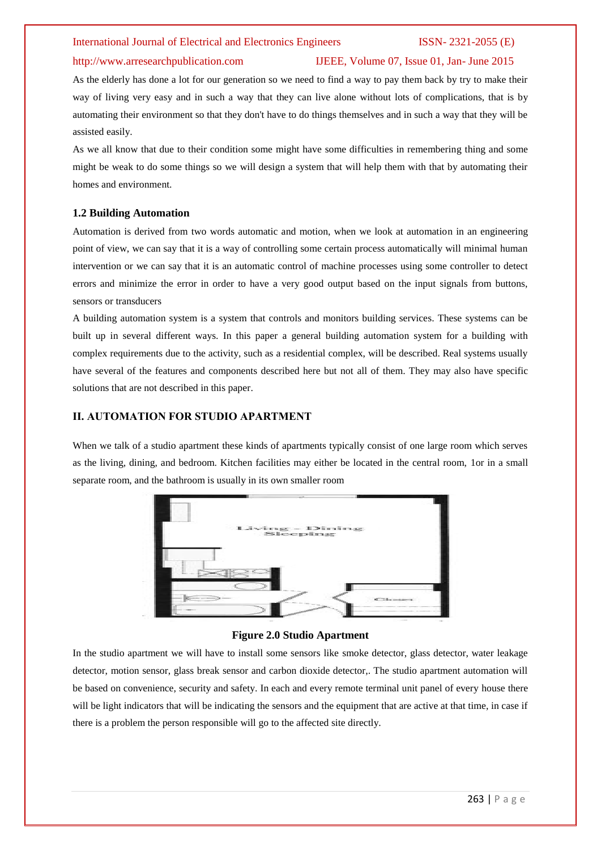# http://www.arresearchpublication.com IJEEE, Volume 07, Issue 01, Jan- June 2015

As the elderly has done a lot for our generation so we need to find a way to pay them back by try to make their way of living very easy and in such a way that they can live alone without lots of complications, that is by automating their environment so that they don't have to do things themselves and in such a way that they will be assisted easily.

As we all know that due to their condition some might have some difficulties in remembering thing and some might be weak to do some things so we will design a system that will help them with that by automating their homes and environment.

### **1.2 Building Automation**

Automation is derived from two words automatic and motion, when we look at automation in an engineering point of view, we can say that it is a way of controlling some certain process automatically will minimal human intervention or we can say that it is an automatic control of machine processes using some controller to detect errors and minimize the error in order to have a very good output based on the input signals from buttons, sensors or transducers

A building automation system is a system that controls and monitors building services. These systems can be built up in several different ways. In this paper a general building automation system for a building with complex requirements due to the activity, such as a residential complex, will be described. Real systems usually have several of the features and components described here but not all of them. They may also have specific solutions that are not described in this paper.

### **II. AUTOMATION FOR STUDIO APARTMENT**

When we talk of a studio apartment these kinds of apartments typically consist of one large room which serves as the living, dining, and bedroom. Kitchen facilities may either be located in the central room, 1or in a small separate room, and the bathroom is usually in its own smaller room



### **Figure 2.0 Studio Apartment**

In the studio apartment we will have to install some sensors like smoke detector, glass detector, water leakage detector, motion sensor, glass break sensor and carbon dioxide detector,. The studio apartment automation will be based on convenience, security and safety. In each and every remote terminal unit panel of every house there will be light indicators that will be indicating the sensors and the equipment that are active at that time, in case if there is a problem the person responsible will go to the affected site directly.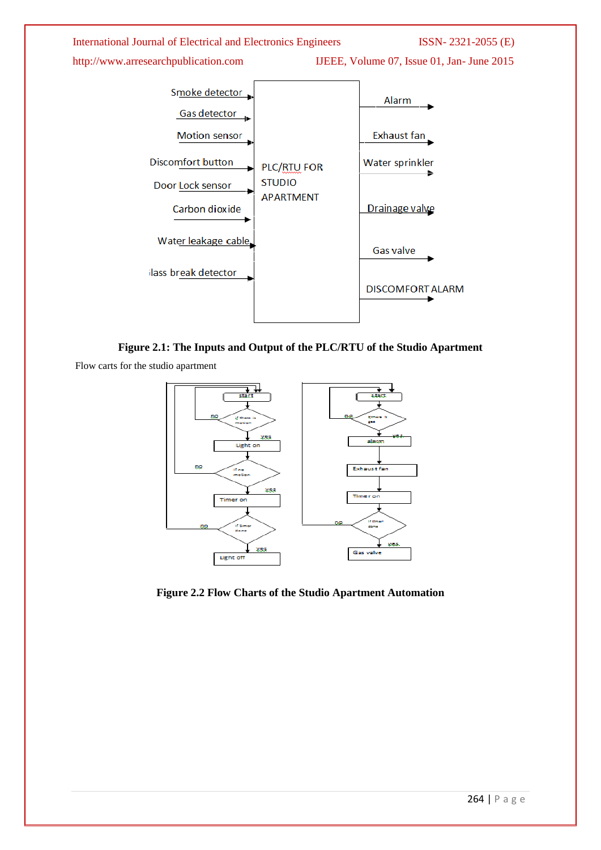

**Figure 2.1: The Inputs and Output of the PLC/RTU of the Studio Apartment**

Flow carts for the studio apartment



**Figure 2.2 Flow Charts of the Studio Apartment Automation**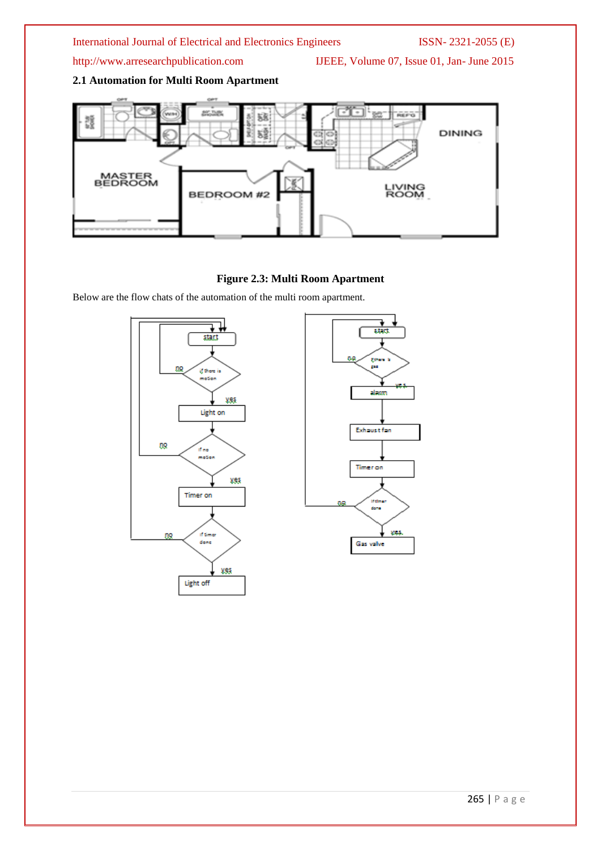http://www.arresearchpublication.com IJEEE, Volume 07, Issue 01, Jan- June 2015

# **2.1 Automation for Multi Room Apartment**



### **Figure 2.3: Multi Room Apartment**

Below are the flow chats of the automation of the multi room apartment.

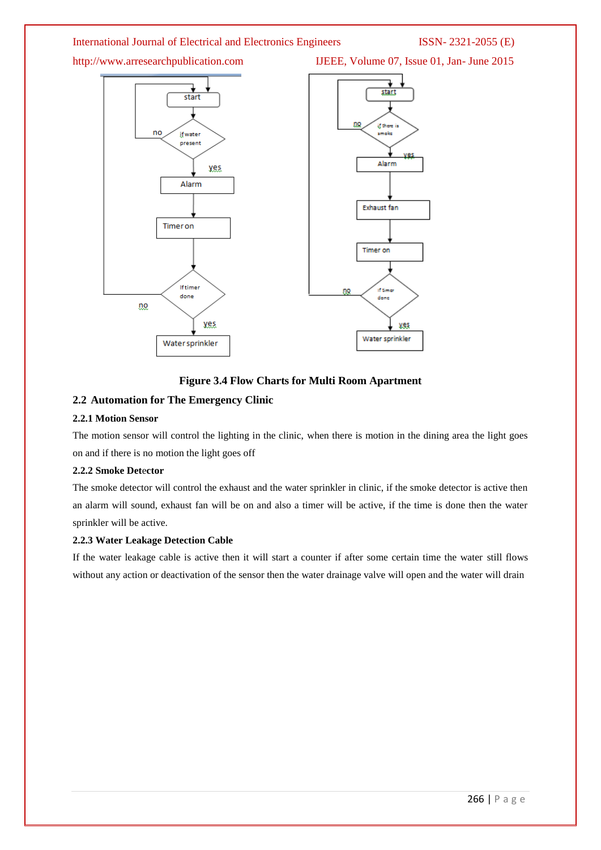

### **Figure 3.4 Flow Charts for Multi Room Apartment**

# **2.2 Automation for The Emergency Clinic**

### **2.2.1 Motion Sensor**

The motion sensor will control the lighting in the clinic, when there is motion in the dining area the light goes on and if there is no motion the light goes off

### **2.2.2 Smoke Det**e**ctor**

The smoke detector will control the exhaust and the water sprinkler in clinic, if the smoke detector is active then an alarm will sound, exhaust fan will be on and also a timer will be active, if the time is done then the water sprinkler will be active.

### **2.2.3 Water Leakage Detection Cable**

If the water leakage cable is active then it will start a counter if after some certain time the water still flows without any action or deactivation of the sensor then the water drainage valve will open and the water will drain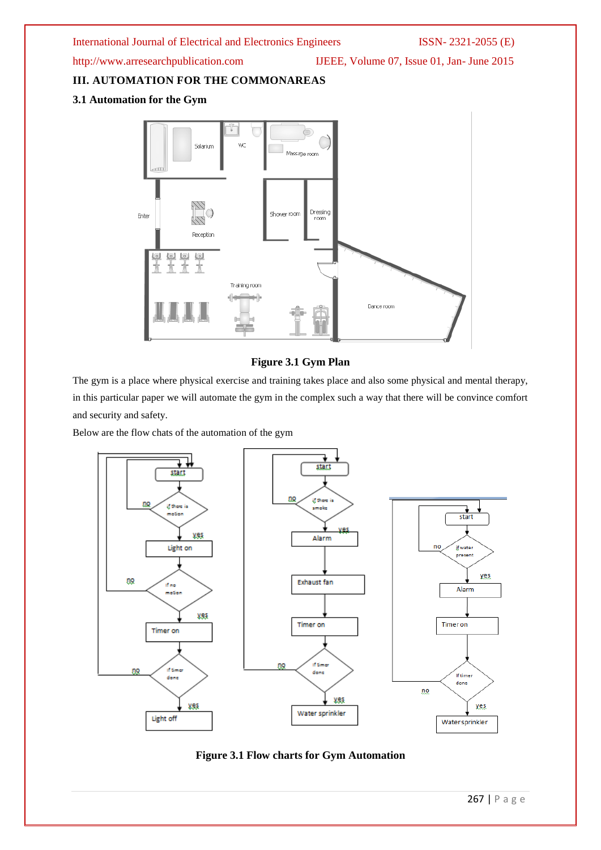http://www.arresearchpublication.com IJEEE, Volume 07, Issue 01, Jan- June 2015

**III. AUTOMATION FOR THE COMMONAREAS**

# **3.1 Automation for the Gym**



# **Figure 3.1 Gym Plan**

The gym is a place where physical exercise and training takes place and also some physical and mental therapy, in this particular paper we will automate the gym in the complex such a way that there will be convince comfort and security and safety.

Below are the flow chats of the automation of the gym



# **Figure 3.1 Flow charts for Gym Automation**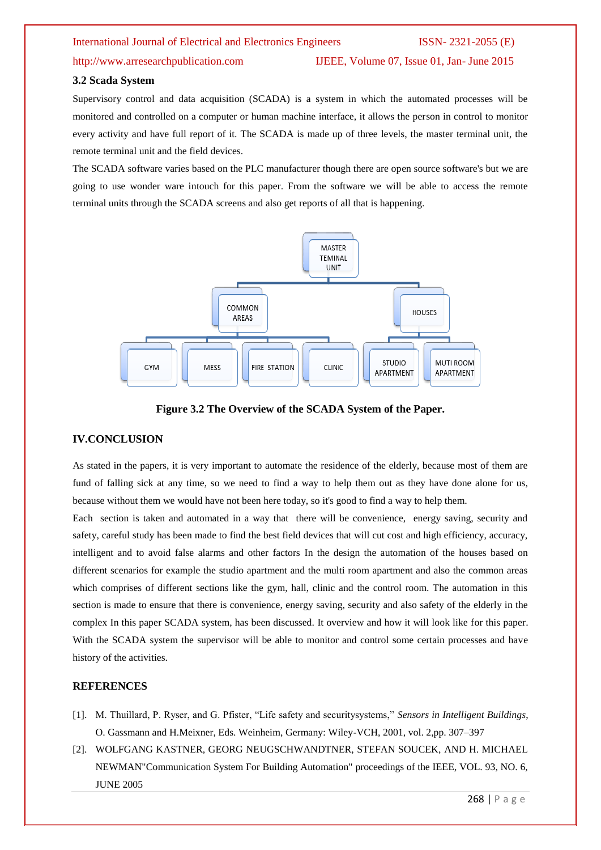http://www.arresearchpublication.com IJEEE, Volume 07, Issue 01, Jan- June 2015

#### **3.2 Scada System**

Supervisory control and data acquisition (SCADA) is a system in which the automated processes will be monitored and controlled on a computer or human machine interface, it allows the person in control to monitor every activity and have full report of it. The SCADA is made up of three levels, the master terminal unit, the remote terminal unit and the field devices.

The SCADA software varies based on the PLC manufacturer though there are open source software's but we are going to use wonder ware intouch for this paper. From the software we will be able to access the remote terminal units through the SCADA screens and also get reports of all that is happening.



**Figure 3.2 The Overview of the SCADA System of the Paper.**

### **IV.CONCLUSION**

As stated in the papers, it is very important to automate the residence of the elderly, because most of them are fund of falling sick at any time, so we need to find a way to help them out as they have done alone for us, because without them we would have not been here today, so it's good to find a way to help them.

Each section is taken and automated in a way that there will be convenience, energy saving, security and safety, careful study has been made to find the best field devices that will cut cost and high efficiency, accuracy, intelligent and to avoid false alarms and other factors In the design the automation of the houses based on different scenarios for example the studio apartment and the multi room apartment and also the common areas which comprises of different sections like the gym, hall, clinic and the control room. The automation in this section is made to ensure that there is convenience, energy saving, security and also safety of the elderly in the complex In this paper SCADA system, has been discussed. It overview and how it will look like for this paper. With the SCADA system the supervisor will be able to monitor and control some certain processes and have history of the activities.

#### **REFERENCES**

- [1]. M. Thuillard, P. Ryser, and G. Pfister, "Life safety and securitysystems," *Sensors in Intelligent Buildings*, O. Gassmann and H.Meixner, Eds. Weinheim, Germany: Wiley-VCH, 2001, vol. 2,pp. 307–397
- [2]. WOLFGANG KASTNER, GEORG NEUGSCHWANDTNER, STEFAN SOUCEK, AND H. MICHAEL NEWMAN"Communication System For Building Automation" proceedings of the IEEE, VOL. 93, NO. 6, JUNE 2005